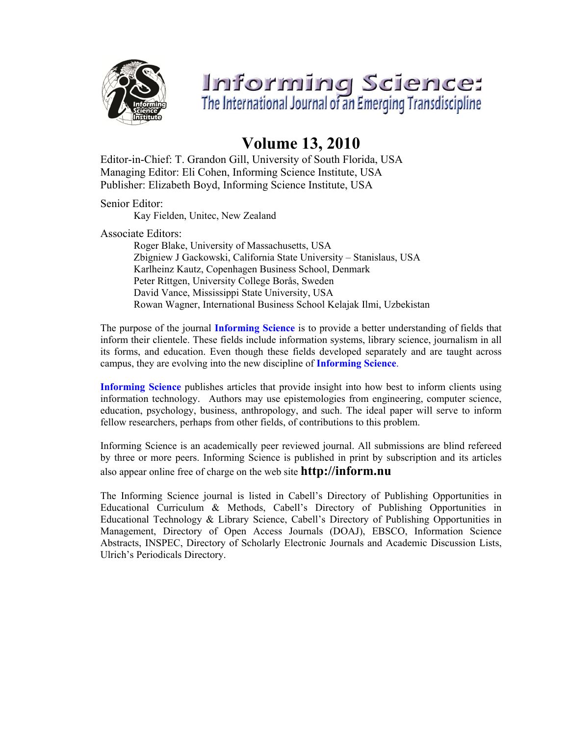

# Informing Science:<br>The International Journal of an Emerging Transdiscipline

## **Volume 13, 2010**

Editor-in-Chief: T. Grandon Gill, University of South Florida, USA Managing Editor: Eli Cohen, Informing Science Institute, USA Publisher: Elizabeth Boyd, Informing Science Institute, USA

Senior Editor:

Kay Fielden, Unitec, New Zealand

Associate Editors:

Roger Blake, University of Massachusetts, USA Zbigniew J Gackowski, California State University – Stanislaus, USA Karlheinz Kautz, Copenhagen Business School, Denmark Peter Rittgen, University College Borås, Sweden David Vance, Mississippi State University, USA Rowan Wagner, International Business School Kelajak Ilmi, Uzbekistan

The purpose of the journal **Informing Science** is to provide a better understanding of fields that inform their clientele. These fields include information systems, library science, journalism in all its forms, and education. Even though these fields developed separately and are taught across campus, they are evolving into the new discipline of **Informing Science**.

**Informing Science** publishes articles that provide insight into how best to inform clients using information technology. Authors may use epistemologies from engineering, computer science, education, psychology, business, anthropology, and such. The ideal paper will serve to inform fellow researchers, perhaps from other fields, of contributions to this problem.

Informing Science is an academically peer reviewed journal. All submissions are blind refereed by three or more peers. Informing Science is published in print by subscription and its articles also appear online free of charge on the web site **http://inform.nu** 

The Informing Science journal is listed in Cabell's Directory of Publishing Opportunities in Educational Curriculum & Methods, Cabell's Directory of Publishing Opportunities in Educational Technology & Library Science, Cabell's Directory of Publishing Opportunities in Management, Directory of Open Access Journals (DOAJ), EBSCO, Information Science Abstracts, INSPEC, Directory of Scholarly Electronic Journals and Academic Discussion Lists, Ulrich's Periodicals Directory.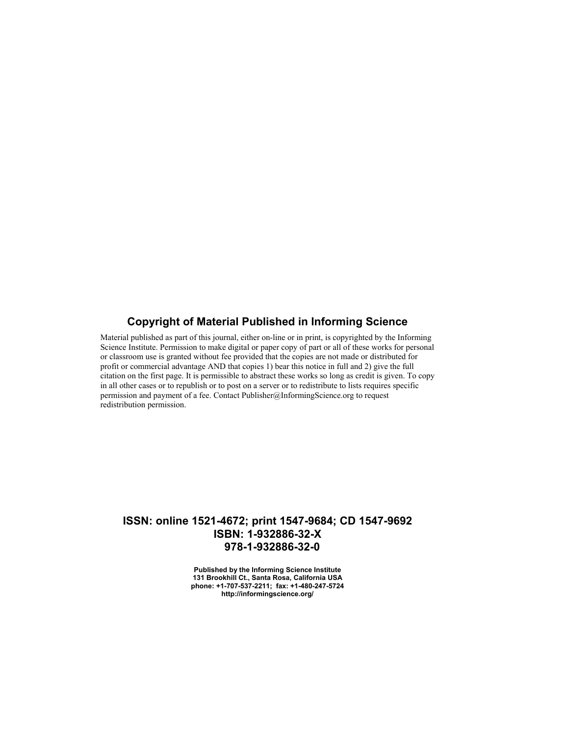#### **Copyright of Material Published in Informing Science**

Material published as part of this journal, either on-line or in print, is copyrighted by the Informing Science Institute. Permission to make digital or paper copy of part or all of these works for personal or classroom use is granted without fee provided that the copies are not made or distributed for profit or commercial advantage AND that copies 1) bear this notice in full and 2) give the full citation on the first page. It is permissible to abstract these works so long as credit is given. To copy in all other cases or to republish or to post on a server or to redistribute to lists requires specific permission and payment of a fee. Contact Publisher@InformingScience.org to request redistribution permission.

#### **ISSN: online 1521-4672; print 1547-9684; CD 1547-9692 ISBN: 1-932886-32-X 978-1-932886-32-0**

**Published by the Informing Science Institute 131 Brookhill Ct., Santa Rosa, California USA phone: +1-707-537-2211; fax: +1-480-247-5724 http://informingscience.org/**